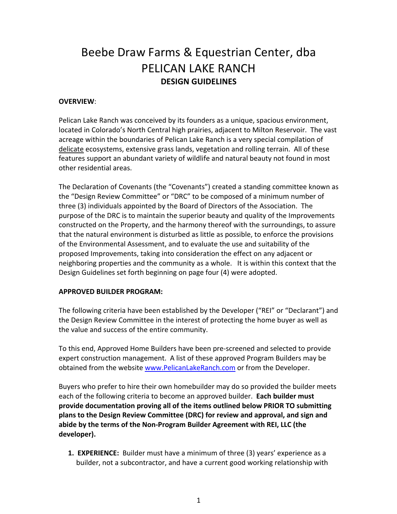# Beebe Draw Farms & Equestrian Center, dba PELICAN LAKE RANCH **DESIGN GUIDELINES**

## **OVERVIEW**:

Pelican Lake Ranch was conceived by its founders as a unique, spacious environment, located in Colorado's North Central high prairies, adjacent to Milton Reservoir. The vast acreage within the boundaries of Pelican Lake Ranch is a very special compilation of delicate ecosystems, extensive grass lands, vegetation and rolling terrain. All of these features support an abundant variety of wildlife and natural beauty not found in most other residential areas.

The Declaration of Covenants (the "Covenants") created a standing committee known as the "Design Review Committee" or "DRC" to be composed of a minimum number of three (3) individuals appointed by the Board of Directors of the Association. The purpose of the DRC is to maintain the superior beauty and quality of the Improvements constructed on the Property, and the harmony thereof with the surroundings, to assure that the natural environment is disturbed as little as possible, to enforce the provisions of the Environmental Assessment, and to evaluate the use and suitability of the proposed Improvements, taking into consideration the effect on any adjacent or neighboring properties and the community as a whole. It is within this context that the Design Guidelines set forth beginning on page four (4) were adopted.

#### **APPROVED BUILDER PROGRAM:**

The following criteria have been established by the Developer ("REI" or "Declarant") and the Design Review Committee in the interest of protecting the home buyer as well as the value and success of the entire community.

To this end, Approved Home Builders have been pre-screened and selected to provide expert construction management. A list of these approved Program Builders may be obtained from the website www.PelicanLakeRanch.com or from the Developer.

Buyers who prefer to hire their own homebuilder may do so provided the builder meets each of the following criteria to become an approved builder. Each builder must **provide documentation proving all of the items outlined below PRIOR TO submitting plans to the Design Review Committee (DRC) for review and approval, and sign and** abide by the terms of the Non-Program Builder Agreement with REI, LLC (the **developer).**

**1. EXPERIENCE:** Builder must have a minimum of three (3) years' experience as a builder, not a subcontractor, and have a current good working relationship with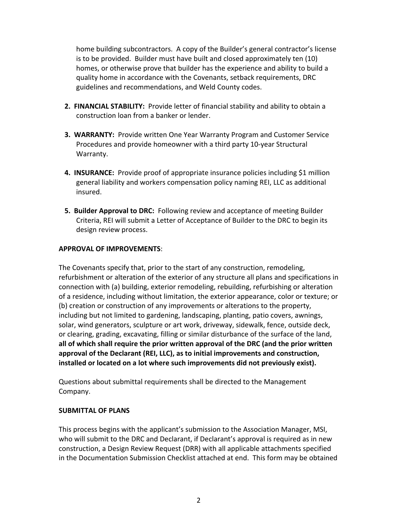home building subcontractors. A copy of the Builder's general contractor's license is to be provided. Builder must have built and closed approximately ten (10) homes, or otherwise prove that builder has the experience and ability to build a quality home in accordance with the Covenants, setback requirements, DRC guidelines and recommendations, and Weld County codes.

- **2. FINANCIAL STABILITY:** Provide letter of financial stability and ability to obtain a construction loan from a banker or lender.
- **3. WARRANTY:** Provide written One Year Warranty Program and Customer Service Procedures and provide homeowner with a third party 10-year Structural Warranty.
- **4. INSURANCE:** Provide proof of appropriate insurance policies including \$1 million general liability and workers compensation policy naming REI, LLC as additional insured.
- **5. Builder Approval to DRC:** Following review and acceptance of meeting Builder Criteria, REI will submit a Letter of Acceptance of Builder to the DRC to begin its design review process.

### **APPROVAL OF IMPROVEMENTS**:

The Covenants specify that, prior to the start of any construction, remodeling, refurbishment or alteration of the exterior of any structure all plans and specifications in connection with (a) building, exterior remodeling, rebuilding, refurbishing or alteration of a residence, including without limitation, the exterior appearance, color or texture; or (b) creation or construction of any improvements or alterations to the property, including but not limited to gardening, landscaping, planting, patio covers, awnings, solar, wind generators, sculpture or art work, driveway, sidewalk, fence, outside deck, or clearing, grading, excavating, filling or similar disturbance of the surface of the land, all of which shall require the prior written approval of the DRC (and the prior written approval of the Declarant (REI, LLC), as to initial improvements and construction, **installed** or located on a lot where such improvements did not previously exist).

Questions about submittal requirements shall be directed to the Management Company.

#### **SUBMITTAL OF PLANS**

This process begins with the applicant's submission to the Association Manager, MSI, who will submit to the DRC and Declarant, if Declarant's approval is required as in new construction, a Design Review Request (DRR) with all applicable attachments specified in the Documentation Submission Checklist attached at end. This form may be obtained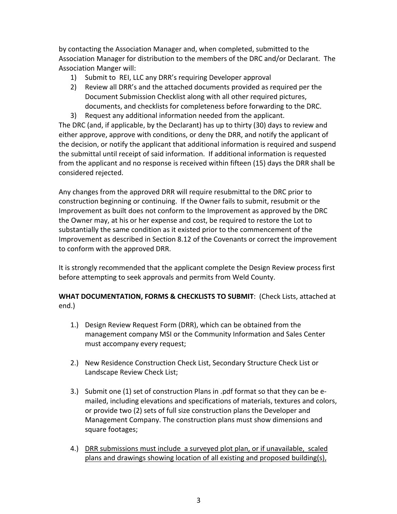by contacting the Association Manager and, when completed, submitted to the Association Manager for distribution to the members of the DRC and/or Declarant. The Association Manger will:

- 1) Submit to REI, LLC any DRR's requiring Developer approval
- 2) Review all DRR's and the attached documents provided as required per the Document Submission Checklist along with all other required pictures, documents, and checklists for completeness before forwarding to the DRC.
- 3) Request any additional information needed from the applicant.

The DRC (and, if applicable, by the Declarant) has up to thirty (30) days to review and either approve, approve with conditions, or deny the DRR, and notify the applicant of the decision, or notify the applicant that additional information is required and suspend the submittal until receipt of said information. If additional information is requested from the applicant and no response is received within fifteen (15) days the DRR shall be considered rejected.

Any changes from the approved DRR will require resubmittal to the DRC prior to construction beginning or continuing. If the Owner fails to submit, resubmit or the Improvement as built does not conform to the Improvement as approved by the DRC the Owner may, at his or her expense and cost, be required to restore the Lot to substantially the same condition as it existed prior to the commencement of the Improvement as described in Section 8.12 of the Covenants or correct the improvement to conform with the approved DRR.

It is strongly recommended that the applicant complete the Design Review process first before attempting to seek approvals and permits from Weld County.

**WHAT DOCUMENTATION, FORMS & CHECKLISTS TO SUBMIT:** (Check Lists, attached at end.)

- 1.) Design Review Request Form (DRR), which can be obtained from the management company MSI or the Community Information and Sales Center must accompany every request;
- 2.) New Residence Construction Check List, Secondary Structure Check List or Landscape Review Check List;
- 3.) Submit one (1) set of construction Plans in .pdf format so that they can be emailed, including elevations and specifications of materials, textures and colors, or provide two (2) sets of full size construction plans the Developer and Management Company. The construction plans must show dimensions and square footages;
- 4.) DRR submissions must include a surveyed plot plan, or if unavailable, scaled plans and drawings showing location of all existing and proposed building(s),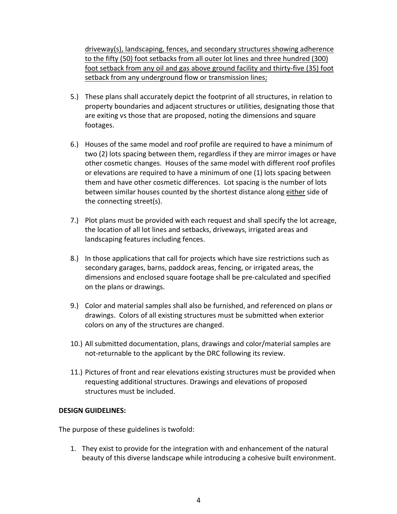$diveway(s)$ , landscaping, fences, and secondary structures showing adherence to the fifty (50) foot setbacks from all outer lot lines and three hundred (300) foot setback from any oil and gas above ground facility and thirty-five (35) foot setback from any underground flow or transmission lines;

- 5.) These plans shall accurately depict the footprint of all structures, in relation to property boundaries and adjacent structures or utilities, designating those that are exiting vs those that are proposed, noting the dimensions and square footages.
- 6.) Houses of the same model and roof profile are required to have a minimum of two (2) lots spacing between them, regardless if they are mirror images or have other cosmetic changes. Houses of the same model with different roof profiles or elevations are required to have a minimum of one (1) lots spacing between them and have other cosmetic differences. Lot spacing is the number of lots between similar houses counted by the shortest distance along either side of the connecting street(s).
- 7.) Plot plans must be provided with each request and shall specify the lot acreage, the location of all lot lines and setbacks, driveways, irrigated areas and landscaping features including fences.
- 8.) In those applications that call for projects which have size restrictions such as secondary garages, barns, paddock areas, fencing, or irrigated areas, the dimensions and enclosed square footage shall be pre-calculated and specified on the plans or drawings.
- 9.) Color and material samples shall also be furnished, and referenced on plans or drawings. Colors of all existing structures must be submitted when exterior colors on any of the structures are changed.
- 10.) All submitted documentation, plans, drawings and color/material samples are not-returnable to the applicant by the DRC following its review.
- 11.) Pictures of front and rear elevations existing structures must be provided when requesting additional structures. Drawings and elevations of proposed structures must be included.

#### **DESIGN GUIDELINES:**

The purpose of these guidelines is twofold:

1. They exist to provide for the integration with and enhancement of the natural beauty of this diverse landscape while introducing a cohesive built environment.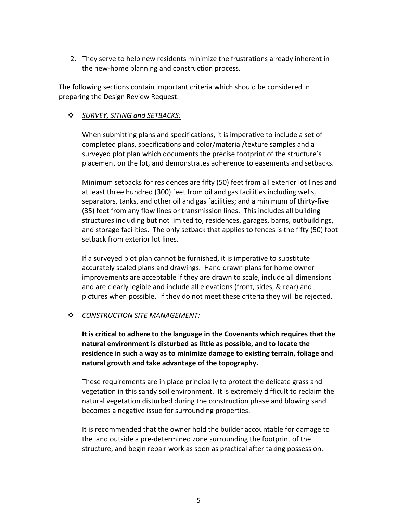2. They serve to help new residents minimize the frustrations already inherent in the new-home planning and construction process.

The following sections contain important criteria which should be considered in preparing the Design Review Request:

## **❖** SURVEY, SITING and SETBACKS:

When submitting plans and specifications, it is imperative to include a set of completed plans, specifications and color/material/texture samples and a surveyed plot plan which documents the precise footprint of the structure's placement on the lot, and demonstrates adherence to easements and setbacks.

Minimum setbacks for residences are fifty (50) feet from all exterior lot lines and at least three hundred (300) feet from oil and gas facilities including wells, separators, tanks, and other oil and gas facilities; and a minimum of thirty-five (35) feet from any flow lines or transmission lines. This includes all building structures including but not limited to, residences, garages, barns, outbuildings, and storage facilities. The only setback that applies to fences is the fifty (50) foot setback from exterior lot lines.

If a surveyed plot plan cannot be furnished, it is imperative to substitute accurately scaled plans and drawings. Hand drawn plans for home owner improvements are acceptable if they are drawn to scale, include all dimensions and are clearly legible and include all elevations (front, sides, & rear) and pictures when possible. If they do not meet these criteria they will be rejected.

#### $\cdot$  *CONSTRUCTION SITE MANAGEMENT:*

It is critical to adhere to the language in the Covenants which requires that the **natural environment is disturbed as little as possible, and to locate the** residence in such a way as to minimize damage to existing terrain, foliage and natural growth and take advantage of the topography.

These requirements are in place principally to protect the delicate grass and vegetation in this sandy soil environment. It is extremely difficult to reclaim the natural vegetation disturbed during the construction phase and blowing sand becomes a negative issue for surrounding properties.

It is recommended that the owner hold the builder accountable for damage to the land outside a pre-determined zone surrounding the footprint of the structure, and begin repair work as soon as practical after taking possession.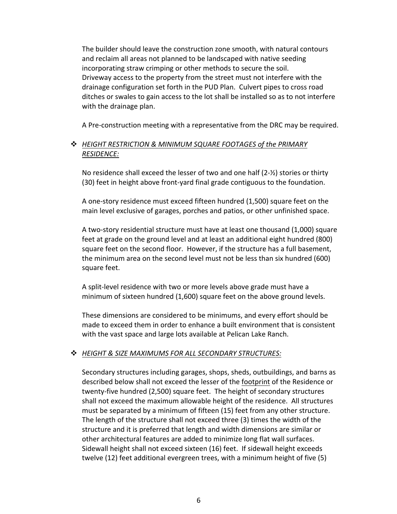The builder should leave the construction zone smooth, with natural contours and reclaim all areas not planned to be landscaped with native seeding incorporating straw crimping or other methods to secure the soil. Driveway access to the property from the street must not interfere with the drainage configuration set forth in the PUD Plan. Culvert pipes to cross road ditches or swales to gain access to the lot shall be installed so as to not interfere with the drainage plan.

A Pre-construction meeting with a representative from the DRC may be required.

## $\div$  *HEIGHT RESTRICTION & MINIMUM SQUARE FOOTAGES of the PRIMARY RESIDENCE:*

No residence shall exceed the lesser of two and one half  $(2-\frac{1}{2})$  stories or thirty (30) feet in height above front-yard final grade contiguous to the foundation.

A one-story residence must exceed fifteen hundred (1,500) square feet on the main level exclusive of garages, porches and patios, or other unfinished space.

A two-story residential structure must have at least one thousand (1,000) square feet at grade on the ground level and at least an additional eight hundred (800) square feet on the second floor. However, if the structure has a full basement, the minimum area on the second level must not be less than six hundred (600) square feet.

A split-level residence with two or more levels above grade must have a minimum of sixteen hundred (1,600) square feet on the above ground levels.

These dimensions are considered to be minimums, and every effort should be made to exceed them in order to enhance a built environment that is consistent with the vast space and large lots available at Pelican Lake Ranch.

#### v *HEIGHT & SIZE MAXIMUMS FOR ALL SECONDARY STRUCTURES:*

Secondary structures including garages, shops, sheds, outbuildings, and barns as described below shall not exceed the lesser of the footprint of the Residence or twenty-five hundred (2,500) square feet. The height of secondary structures shall not exceed the maximum allowable height of the residence. All structures must be separated by a minimum of fifteen (15) feet from any other structure. The length of the structure shall not exceed three (3) times the width of the structure and it is preferred that length and width dimensions are similar or other architectural features are added to minimize long flat wall surfaces. Sidewall height shall not exceed sixteen (16) feet. If sidewall height exceeds twelve (12) feet additional evergreen trees, with a minimum height of five (5)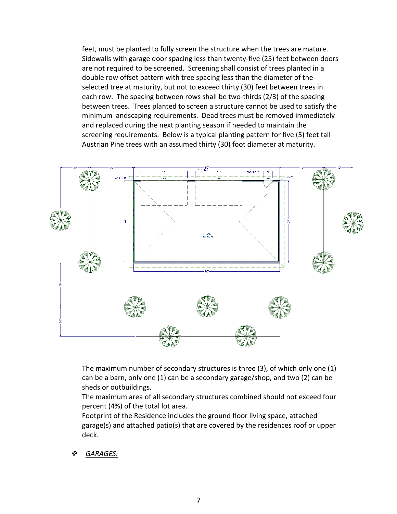feet, must be planted to fully screen the structure when the trees are mature. Sidewalls with garage door spacing less than twenty-five (25) feet between doors are not required to be screened. Screening shall consist of trees planted in a double row offset pattern with tree spacing less than the diameter of the selected tree at maturity, but not to exceed thirty (30) feet between trees in each row. The spacing between rows shall be two-thirds  $(2/3)$  of the spacing between trees. Trees planted to screen a structure cannot be used to satisfy the minimum landscaping requirements. Dead trees must be removed immediately and replaced during the next planting season if needed to maintain the screening requirements. Below is a typical planting pattern for five (5) feet tall Austrian Pine trees with an assumed thirty (30) foot diameter at maturity.



The maximum number of secondary structures is three  $(3)$ , of which only one  $(1)$ can be a barn, only one (1) can be a secondary garage/shop, and two (2) can be sheds or outbuildings.

The maximum area of all secondary structures combined should not exceed four percent (4%) of the total lot area.

Footprint of the Residence includes the ground floor living space, attached garage(s) and attached patio(s) that are covered by the residences roof or upper deck.

GARAGES: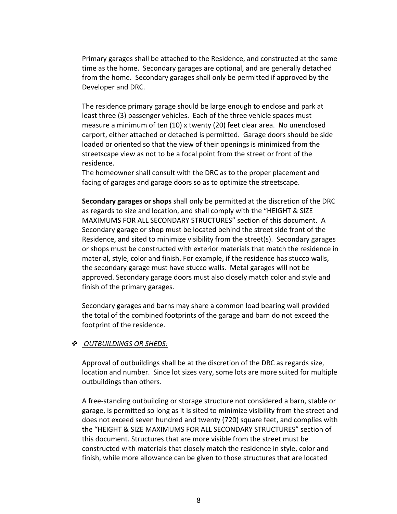Primary garages shall be attached to the Residence, and constructed at the same time as the home. Secondary garages are optional, and are generally detached from the home. Secondary garages shall only be permitted if approved by the Developer and DRC.

The residence primary garage should be large enough to enclose and park at least three (3) passenger vehicles. Each of the three vehicle spaces must measure a minimum of ten  $(10)$  x twenty  $(20)$  feet clear area. No unenclosed carport, either attached or detached is permitted. Garage doors should be side loaded or oriented so that the view of their openings is minimized from the streetscape view as not to be a focal point from the street or front of the residence. 

The homeowner shall consult with the DRC as to the proper placement and facing of garages and garage doors so as to optimize the streetscape.

**Secondary garages or shops** shall only be permitted at the discretion of the DRC as regards to size and location, and shall comply with the "HEIGHT & SIZE MAXIMUMS FOR ALL SECONDARY STRUCTURES" section of this document. A Secondary garage or shop must be located behind the street side front of the Residence, and sited to minimize visibility from the street(s). Secondary garages or shops must be constructed with exterior materials that match the residence in material, style, color and finish. For example, if the residence has stucco walls, the secondary garage must have stucco walls. Metal garages will not be approved. Secondary garage doors must also closely match color and style and finish of the primary garages.

Secondary garages and barns may share a common load bearing wall provided the total of the combined footprints of the garage and barn do not exceed the footprint of the residence.

#### v *OUTBUILDINGS OR SHEDS:*

Approval of outbuildings shall be at the discretion of the DRC as regards size, location and number. Since lot sizes vary, some lots are more suited for multiple outbuildings than others.

A free-standing outbuilding or storage structure not considered a barn, stable or garage, is permitted so long as it is sited to minimize visibility from the street and does not exceed seven hundred and twenty (720) square feet, and complies with the "HEIGHT & SIZE MAXIMUMS FOR ALL SECONDARY STRUCTURES" section of this document. Structures that are more visible from the street must be constructed with materials that closely match the residence in style, color and finish, while more allowance can be given to those structures that are located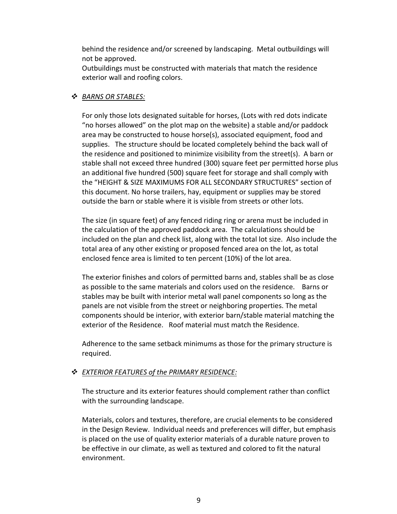behind the residence and/or screened by landscaping. Metal outbuildings will not be approved.

Outbuildings must be constructed with materials that match the residence exterior wall and roofing colors.

#### v *BARNS OR STABLES:*

For only those lots designated suitable for horses, (Lots with red dots indicate "no horses allowed" on the plot map on the website) a stable and/or paddock area may be constructed to house horse(s), associated equipment, food and supplies. The structure should be located completely behind the back wall of the residence and positioned to minimize visibility from the street(s). A barn or stable shall not exceed three hundred (300) square feet per permitted horse plus an additional five hundred (500) square feet for storage and shall comply with the "HEIGHT & SIZE MAXIMUMS FOR ALL SECONDARY STRUCTURES" section of this document. No horse trailers, hay, equipment or supplies may be stored outside the barn or stable where it is visible from streets or other lots.

The size (in square feet) of any fenced riding ring or arena must be included in the calculation of the approved paddock area. The calculations should be included on the plan and check list, along with the total lot size. Also include the total area of any other existing or proposed fenced area on the lot, as total enclosed fence area is limited to ten percent (10%) of the lot area.

The exterior finishes and colors of permitted barns and, stables shall be as close as possible to the same materials and colors used on the residence. Barns or stables may be built with interior metal wall panel components so long as the panels are not visible from the street or neighboring properties. The metal components should be interior, with exterior barn/stable material matching the exterior of the Residence. Roof material must match the Residence.

Adherence to the same setback minimums as those for the primary structure is required.

# *EXTERIOR FEATURES* of the PRIMARY RESIDENCE:

The structure and its exterior features should complement rather than conflict with the surrounding landscape.

Materials, colors and textures, therefore, are crucial elements to be considered in the Design Review. Individual needs and preferences will differ, but emphasis is placed on the use of quality exterior materials of a durable nature proven to be effective in our climate, as well as textured and colored to fit the natural environment.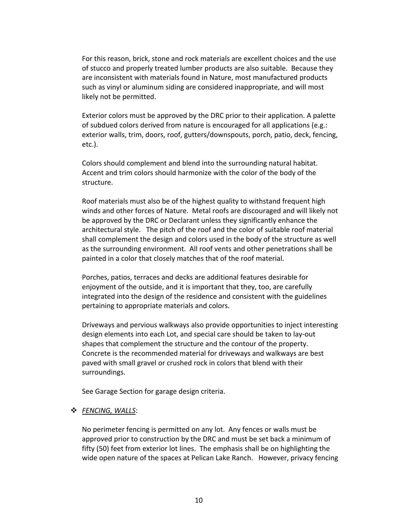For this reason, brick, stone and rock materials are excellent choices and the use of stucco and properly treated lumber products are also suitable. Because they are inconsistent with materials found in Nature, most manufactured products such as vinyl or aluminum siding are considered inappropriate, and will most likely not be permitted.

Exterior colors must be approved by the DRC prior to their application. A palette of subdued colors derived from nature is encouraged for all applications (e.g.: exterior walls, trim, doors, roof, gutters/downspouts, porch, patio, deck, fencing, etc.).

Colors should complement and blend into the surrounding natural habitat. Accent and trim colors should harmonize with the color of the body of the structure. 

Roof materials must also be of the highest quality to withstand frequent high winds and other forces of Nature. Metal roofs are discouraged and will likely not be approved by the DRC or Declarant unless they significantly enhance the architectural style. The pitch of the roof and the color of suitable roof material shall complement the design and colors used in the body of the structure as well as the surrounding environment. All roof vents and other penetrations shall be painted in a color that closely matches that of the roof material.

Porches, patios, terraces and decks are additional features desirable for enjoyment of the outside, and it is important that they, too, are carefully integrated into the design of the residence and consistent with the guidelines pertaining to appropriate materials and colors.

Driveways and pervious walkways also provide opportunities to inject interesting design elements into each Lot, and special care should be taken to lay-out shapes that complement the structure and the contour of the property. Concrete is the recommended material for driveways and walkways are best paved with small gravel or crushed rock in colors that blend with their surroundings.

See Garage Section for garage design criteria.

#### v *FENCING, WALLS*:

No perimeter fencing is permitted on any lot. Any fences or walls must be approved prior to construction by the DRC and must be set back a minimum of fifty (50) feet from exterior lot lines. The emphasis shall be on highlighting the wide open nature of the spaces at Pelican Lake Ranch. However, privacy fencing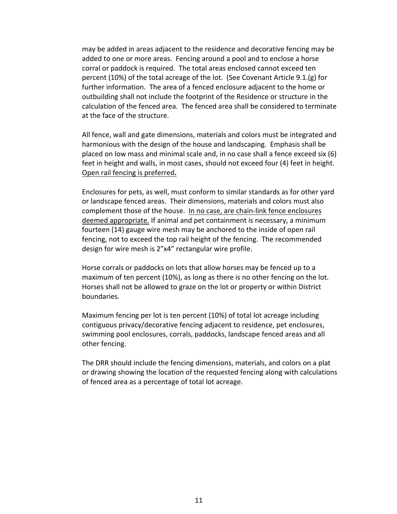may be added in areas adjacent to the residence and decorative fencing may be added to one or more areas. Fencing around a pool and to enclose a horse corral or paddock is required. The total areas enclosed cannot exceed ten percent  $(10\%)$  of the total acreage of the lot. (See Covenant Article 9.1.(g) for further information. The area of a fenced enclosure adjacent to the home or outbuilding shall not include the footprint of the Residence or structure in the calculation of the fenced area. The fenced area shall be considered to terminate at the face of the structure.

All fence, wall and gate dimensions, materials and colors must be integrated and harmonious with the design of the house and landscaping. Emphasis shall be placed on low mass and minimal scale and, in no case shall a fence exceed six  $(6)$ feet in height and walls, in most cases, should not exceed four (4) feet in height. Open rail fencing is preferred**.**

Enclosures for pets, as well, must conform to similar standards as for other yard or landscape fenced areas. Their dimensions, materials and colors must also complement those of the house. In no case, are chain-link fence enclosures deemed appropriate. If animal and pet containment is necessary, a minimum fourteen (14) gauge wire mesh may be anchored to the inside of open rail fencing, not to exceed the top rail height of the fencing. The recommended design for wire mesh is 2"x4" rectangular wire profile.

Horse corrals or paddocks on lots that allow horses may be fenced up to a maximum of ten percent (10%), as long as there is no other fencing on the lot. Horses shall not be allowed to graze on the lot or property or within District boundaries. 

Maximum fencing per lot is ten percent  $(10%)$  of total lot acreage including contiguous privacy/decorative fencing adjacent to residence, pet enclosures, swimming pool enclosures, corrals, paddocks, landscape fenced areas and all other fencing.

The DRR should include the fencing dimensions, materials, and colors on a plat or drawing showing the location of the requested fencing along with calculations of fenced area as a percentage of total lot acreage.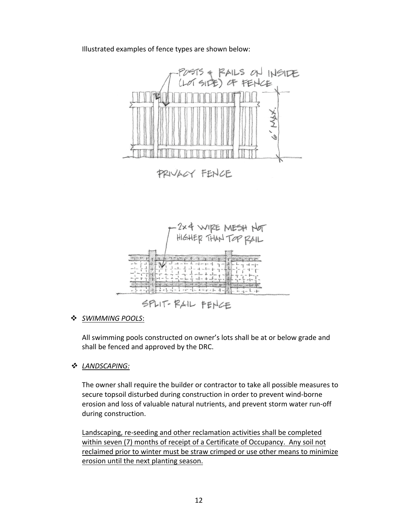#### Illustrated examples of fence types are shown below:



PRIVACY FENCE



v *SWIMMING POOLS*:

All swimming pools constructed on owner's lots shall be at or below grade and shall be fenced and approved by the DRC.

v *LANDSCAPING:*

The owner shall require the builder or contractor to take all possible measures to secure topsoil disturbed during construction in order to prevent wind-borne erosion and loss of valuable natural nutrients, and prevent storm water run-off during construction.

Landscaping, re-seeding and other reclamation activities shall be completed within seven (7) months of receipt of a Certificate of Occupancy. Any soil not reclaimed prior to winter must be straw crimped or use other means to minimize erosion until the next planting season.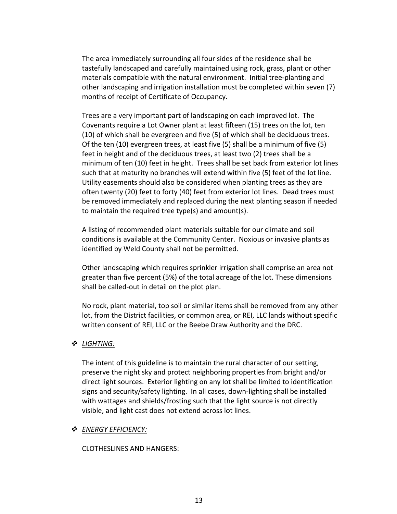The area immediately surrounding all four sides of the residence shall be tastefully landscaped and carefully maintained using rock, grass, plant or other materials compatible with the natural environment. Initial tree-planting and other landscaping and irrigation installation must be completed within seven (7) months of receipt of Certificate of Occupancy.

Trees are a very important part of landscaping on each improved lot. The Covenants require a Lot Owner plant at least fifteen (15) trees on the lot, ten (10) of which shall be evergreen and five (5) of which shall be deciduous trees. Of the ten  $(10)$  evergreen trees, at least five  $(5)$  shall be a minimum of five  $(5)$ feet in height and of the deciduous trees, at least two (2) trees shall be a minimum of ten (10) feet in height. Trees shall be set back from exterior lot lines such that at maturity no branches will extend within five (5) feet of the lot line. Utility easements should also be considered when planting trees as they are often twenty (20) feet to forty (40) feet from exterior lot lines. Dead trees must be removed immediately and replaced during the next planting season if needed to maintain the required tree type(s) and amount(s).

A listing of recommended plant materials suitable for our climate and soil conditions is available at the Community Center. Noxious or invasive plants as identified by Weld County shall not be permitted.

Other landscaping which requires sprinkler irrigation shall comprise an area not greater than five percent (5%) of the total acreage of the lot. These dimensions shall be called-out in detail on the plot plan.

No rock, plant material, top soil or similar items shall be removed from any other lot, from the District facilities, or common area, or REI, LLC lands without specific written consent of REI, LLC or the Beebe Draw Authority and the DRC.

#### v *LIGHTING:*

The intent of this guideline is to maintain the rural character of our setting, preserve the night sky and protect neighboring properties from bright and/or direct light sources. Exterior lighting on any lot shall be limited to identification signs and security/safety lighting. In all cases, down-lighting shall be installed with wattages and shields/frosting such that the light source is not directly visible, and light cast does not extend across lot lines.

#### v *ENERGY EFFICIENCY:*

CLOTHESLINES AND HANGERS: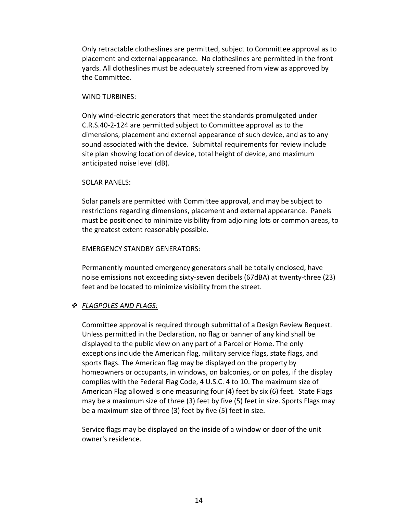Only retractable clotheslines are permitted, subject to Committee approval as to placement and external appearance. No clotheslines are permitted in the front yards. All clotheslines must be adequately screened from view as approved by the Committee.

#### WIND TURBINES:

Only wind-electric generators that meet the standards promulgated under C.R.S.40-2-124 are permitted subject to Committee approval as to the dimensions, placement and external appearance of such device, and as to any sound associated with the device. Submittal requirements for review include site plan showing location of device, total height of device, and maximum anticipated noise level (dB).

#### SOLAR PANELS:

Solar panels are permitted with Committee approval, and may be subject to restrictions regarding dimensions, placement and external appearance. Panels must be positioned to minimize visibility from adjoining lots or common areas, to the greatest extent reasonably possible.

#### EMERGENCY STANDBY GENERATORS:

Permanently mounted emergency generators shall be totally enclosed, have noise emissions not exceeding sixty-seven decibels (67dBA) at twenty-three (23) feet and be located to minimize visibility from the street.

#### v *FLAGPOLES AND FLAGS:*

Committee approval is required through submittal of a Design Review Request. Unless permitted in the Declaration, no flag or banner of any kind shall be displayed to the public view on any part of a Parcel or Home. The only exceptions include the American flag, military service flags, state flags, and sports flags. The American flag may be displayed on the property by homeowners or occupants, in windows, on balconies, or on poles, if the display complies with the Federal Flag Code, 4 U.S.C. 4 to 10. The maximum size of American Flag allowed is one measuring four  $(4)$  feet by six  $(6)$  feet. State Flags may be a maximum size of three  $(3)$  feet by five  $(5)$  feet in size. Sports Flags may be a maximum size of three (3) feet by five (5) feet in size.

Service flags may be displayed on the inside of a window or door of the unit owner's residence.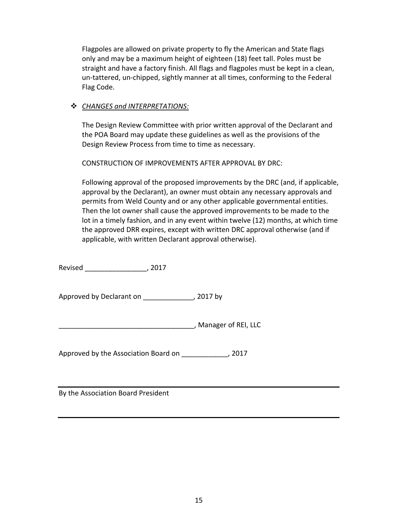Flagpoles are allowed on private property to fly the American and State flags only and may be a maximum height of eighteen (18) feet tall. Poles must be straight and have a factory finish. All flags and flagpoles must be kept in a clean, un-tattered, un-chipped, sightly manner at all times, conforming to the Federal Flag Code.

### v *CHANGES and INTERPRETATIONS:*

The Design Review Committee with prior written approval of the Declarant and the POA Board may update these guidelines as well as the provisions of the Design Review Process from time to time as necessary.

CONSTRUCTION OF IMPROVEMENTS AFTER APPROVAL BY DRC:

Following approval of the proposed improvements by the DRC (and, if applicable, approval by the Declarant), an owner must obtain any necessary approvals and permits from Weld County and or any other applicable governmental entities. Then the lot owner shall cause the approved improvements to be made to the lot in a timely fashion, and in any event within twelve (12) months, at which time the approved DRR expires, except with written DRC approval otherwise (and if applicable, with written Declarant approval otherwise).

Revised \_\_\_\_\_\_\_\_\_\_\_\_\_\_\_\_, 2017

Approved by Declarant on \_\_\_\_\_\_\_\_\_\_\_\_\_, 2017 by

\_\_\_\_\_\_\_\_\_\_\_\_\_\_\_\_\_\_\_\_\_\_\_\_\_\_\_\_\_\_\_\_\_\_\_, Manager of REI, LLC

Approved by the Association Board on \_\_\_\_\_\_\_\_\_\_\_\_, 2017

By the Association Board President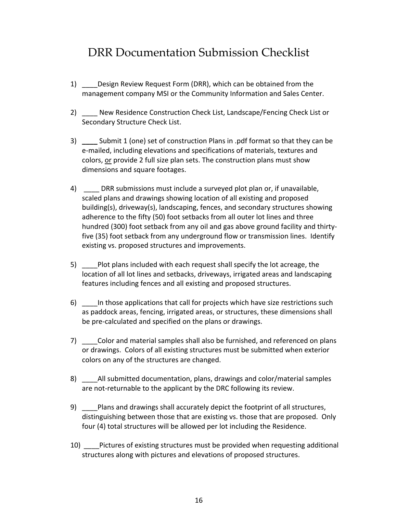# DRR Documentation Submission Checklist

- 1) \_\_\_\_\_Design Review Request Form (DRR), which can be obtained from the management company MSI or the Community Information and Sales Center.
- 2) New Residence Construction Check List, Landscape/Fencing Check List or Secondary Structure Check List.
- 3) Submit 1 (one) set of construction Plans in .pdf format so that they can be e-mailed, including elevations and specifications of materials, textures and colors, or provide 2 full size plan sets. The construction plans must show dimensions and square footages.
- 4) DRR submissions must include a surveyed plot plan or, if unavailable, scaled plans and drawings showing location of all existing and proposed building(s), driveway(s), landscaping, fences, and secondary structures showing adherence to the fifty (50) foot setbacks from all outer lot lines and three hundred (300) foot setback from any oil and gas above ground facility and thirtyfive (35) foot setback from any underground flow or transmission lines. Identify existing vs. proposed structures and improvements.
- 5) Plot plans included with each request shall specify the lot acreage, the location of all lot lines and setbacks, driveways, irrigated areas and landscaping features including fences and all existing and proposed structures.
- 6) In those applications that call for projects which have size restrictions such as paddock areas, fencing, irrigated areas, or structures, these dimensions shall be pre-calculated and specified on the plans or drawings.
- 7) Color and material samples shall also be furnished, and referenced on plans or drawings. Colors of all existing structures must be submitted when exterior colors on any of the structures are changed.
- 8) \_\_\_\_\_\_\_All submitted documentation, plans, drawings and color/material samples are not-returnable to the applicant by the DRC following its review.
- 9) Plans and drawings shall accurately depict the footprint of all structures, distinguishing between those that are existing vs. those that are proposed. Only four (4) total structures will be allowed per lot including the Residence.
- 10) Lettures of existing structures must be provided when requesting additional structures along with pictures and elevations of proposed structures.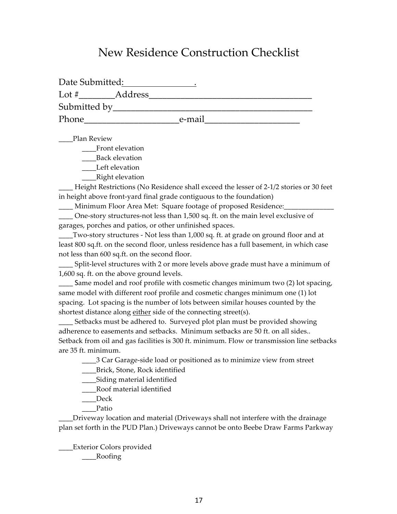# New Residence Construction Checklist

| Date Submitted: |         |        |  |
|-----------------|---------|--------|--|
| Lot $#$         | Address |        |  |
| Submitted by    |         |        |  |
| Phone           |         | e-mail |  |

\_\_\_\_Plan Review

\_\_\_\_Front elevation

\_\_\_\_Back elevation

\_\_\_\_Left elevation

\_\_\_\_Right elevation

Height Restrictions (No Residence shall exceed the lesser of 2-1/2 stories or 30 feet in height above front-yard final grade contiguous to the foundation)

\_\_\_\_ Minimum Floor Area Met: Square footage of proposed Residence:\_\_\_\_\_\_\_\_\_\_\_\_\_\_

\_\_\_\_ One-story structures-not less than 1,500 sq. ft. on the main level exclusive of garages, porches and patios, or other unfinished spaces.

\_\_\_\_Two-story structures - Not less than 1,000 sq. ft. at grade on ground floor and at least 800 sq.ft. on the second floor, unless residence has a full basement, in which case not less than 600 sq.ft. on the second floor.

Split-level structures with 2 or more levels above grade must have a minimum of 1,600 sq. ft. on the above ground levels.

\_\_\_\_ Same model and roof profile with cosmetic changes minimum two (2) lot spacing, same model with different roof profile and cosmetic changes minimum one (1) lot spacing. Lot spacing is the number of lots between similar houses counted by the shortest distance along either side of the connecting street(s).

\_\_\_\_ Setbacks must be adhered to. Surveyed plot plan must be provided showing adherence to easements and setbacks. Minimum setbacks are 50 ft. on all sides.. Setback from oil and gas facilities is 300 ft. minimum. Flow or transmission line setbacks are 35 ft. minimum.

\_\_\_\_3 Car Garage-side load or positioned as to minimize view from street

\_\_\_\_Brick, Stone, Rock identified

\_\_\_\_Siding material identified

\_\_\_\_Roof material identified

\_\_\_\_Deck

\_\_\_\_Patio

\_\_\_\_Driveway location and material (Driveways shall not interfere with the drainage plan set forth in the PUD Plan.) Driveways cannot be onto Beebe Draw Farms Parkway

\_\_\_\_Exterior Colors provided \_\_\_\_Roofing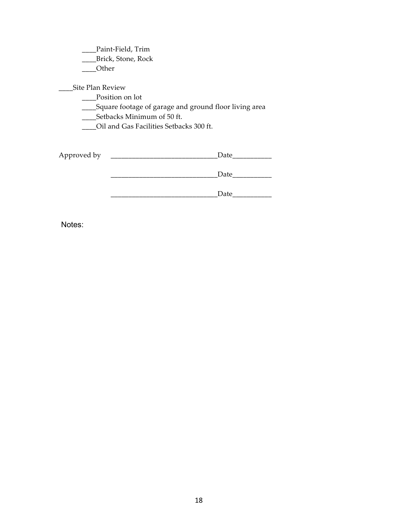\_\_\_\_Paint-Field, Trim

\_\_\_\_Brick, Stone, Rock

\_\_\_\_Other

\_\_\_\_Site Plan Review

\_\_\_\_Position on lot

\_\_\_\_Square footage of garage and ground floor living area

\_\_\_\_Setbacks Minimum of 50 ft.

\_\_\_\_Oil and Gas Facilities Setbacks 300 ft.

| Approved by | Date |
|-------------|------|
|             | Date |
|             | Date |

Notes: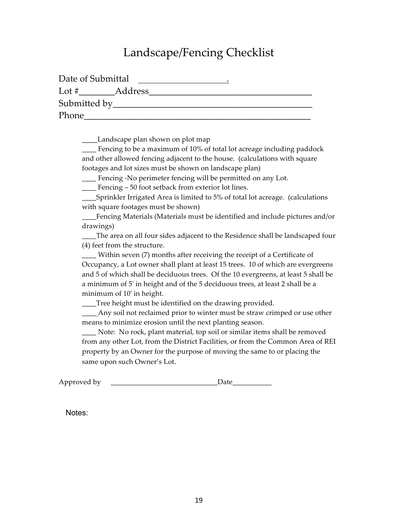# Landscape/Fencing Checklist

| Date of Submittal |         |  |  |
|-------------------|---------|--|--|
| Lot $#$           | Address |  |  |
| Submitted by      |         |  |  |
| Phone             |         |  |  |

\_\_\_\_Landscape plan shown on plot map

\_\_\_\_ Fencing to be a maximum of 10% of total lot acreage including paddock and other allowed fencing adjacent to the house. (calculations with square footages and lot sizes must be shown on landscape plan)

\_\_\_\_ Fencing -No perimeter fencing will be permitted on any Lot.

\_\_\_\_ Fencing – 50 foot setback from exterior lot lines.

\_\_\_\_Sprinkler Irrigated Area is limited to 5% of total lot acreage. (calculations with square footages must be shown)

Fencing Materials (Materials must be identified and include pictures and/or drawings)

\_\_\_\_The area on all four sides adjacent to the Residence shall be landscaped four (4) feet from the structure.

\_\_\_\_ Within seven (7) months after receiving the receipt of a Certificate of Occupancy, a Lot owner shall plant at least 15 trees. 10 of which are evergreens and 5 of which shall be deciduous trees. Of the 10 evergreens, at least 5 shall be a minimum of 5' in height and of the 5 deciduous trees, at least 2 shall be a minimum of 10' in height.

\_\_\_\_Tree height must be identified on the drawing provided.

\_\_\_\_ Any soil not reclaimed prior to winter must be straw crimped or use other means to minimize erosion until the next planting season.

\_\_\_\_ Note: No rock, plant material, top soil or similar items shall be removed from any other Lot, from the District Facilities, or from the Common Area of REI property by an Owner for the purpose of moving the same to or placing the same upon such Owner's Lot.

Approved by **Example 20** Date

Notes: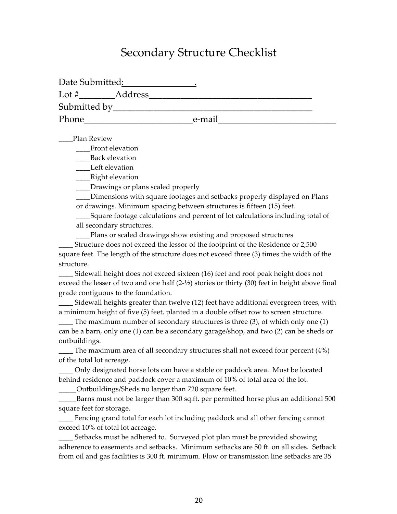# Secondary Structure Checklist

| Date Submitted: |         |        |  |
|-----------------|---------|--------|--|
| Lot #           | Address |        |  |
| Submitted by    |         |        |  |
| Phone           |         | e-mail |  |

\_\_\_\_Plan Review

\_\_\_\_Front elevation

\_\_\_\_Back elevation

\_\_\_\_Left elevation

\_\_\_\_Right elevation

\_\_\_\_Drawings or plans scaled properly

\_\_\_\_Dimensions with square footages and setbacks properly displayed on Plans or drawings. Minimum spacing between structures is fifteen (15) feet.

\_\_\_\_Square footage calculations and percent of lot calculations including total of all secondary structures.

Plans or scaled drawings show existing and proposed structures

Structure does not exceed the lessor of the footprint of the Residence or 2,500 square feet. The length of the structure does not exceed three (3) times the width of the structure.

\_\_\_\_ Sidewall height does not exceed sixteen (16) feet and roof peak height does not exceed the lesser of two and one half  $(2\text{-}1/2)$  stories or thirty (30) feet in height above final grade contiguous to the foundation.

Sidewall heights greater than twelve (12) feet have additional evergreen trees, with a minimum height of five (5) feet, planted in a double offset row to screen structure.

\_\_\_\_ The maximum number of secondary structures is three (3), of which only one (1) can be a barn, only one (1) can be a secondary garage/shop, and two (2) can be sheds or outbuildings.

 $\Box$  The maximum area of all secondary structures shall not exceed four percent (4%) of the total lot acreage.

\_\_\_\_ Only designated horse lots can have a stable or paddock area. Must be located behind residence and paddock cover a maximum of 10% of total area of the lot.

\_\_\_\_\_Outbuildings/Sheds no larger than 720 square feet.

Barns must not be larger than 300 sq.ft. per permitted horse plus an additional 500 square feet for storage.

\_\_\_\_ Fencing grand total for each lot including paddock and all other fencing cannot exceed 10% of total lot acreage.

Setbacks must be adhered to. Surveyed plot plan must be provided showing adherence to easements and setbacks. Minimum setbacks are 50 ft. on all sides. Setback from oil and gas facilities is 300 ft. minimum. Flow or transmission line setbacks are 35